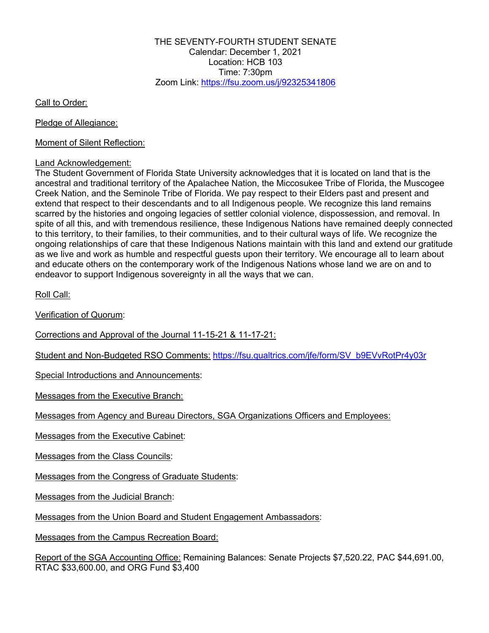THE SEVENTY-FOURTH STUDENT SENATE Calendar: December 1, 2021 Location: HCB 103 Time: 7:30pm Zoom Link: https://fsu.zoom.us/j/92325341806

Call to Order:

Pledge of Allegiance:

Moment of Silent Reflection:

#### Land Acknowledgement:

The Student Government of Florida State University acknowledges that it is located on land that is the ancestral and traditional territory of the Apalachee Nation, the Miccosukee Tribe of Florida, the Muscogee Creek Nation, and the Seminole Tribe of Florida. We pay respect to their Elders past and present and extend that respect to their descendants and to all Indigenous people. We recognize this land remains scarred by the histories and ongoing legacies of settler colonial violence, dispossession, and removal. In spite of all this, and with tremendous resilience, these Indigenous Nations have remained deeply connected to this territory, to their families, to their communities, and to their cultural ways of life. We recognize the ongoing relationships of care that these Indigenous Nations maintain with this land and extend our gratitude as we live and work as humble and respectful guests upon their territory. We encourage all to learn about and educate others on the contemporary work of the Indigenous Nations whose land we are on and to endeavor to support Indigenous sovereignty in all the ways that we can.

Roll Call:

Verification of Quorum:

Corrections and Approval of the Journal 11-15-21 & 11-17-21:

Student and Non-Budgeted RSO Comments: https://fsu.qualtrics.com/jfe/form/SV\_b9EVvRotPr4y03r

Special Introductions and Announcements:

Messages from the Executive Branch:

Messages from Agency and Bureau Directors, SGA Organizations Officers and Employees:

Messages from the Executive Cabinet:

Messages from the Class Councils:

Messages from the Congress of Graduate Students:

Messages from the Judicial Branch:

Messages from the Union Board and Student Engagement Ambassadors:

Messages from the Campus Recreation Board:

Report of the SGA Accounting Office: Remaining Balances: Senate Projects \$7,520.22, PAC \$44,691.00, RTAC \$33,600.00, and ORG Fund \$3,400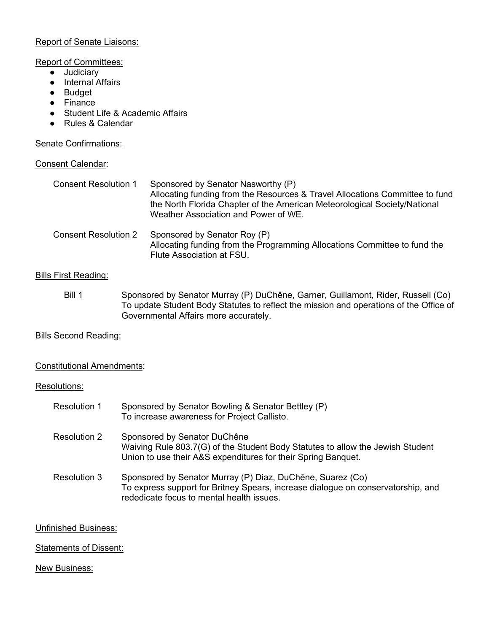### Report of Senate Liaisons:

### Report of Committees:

- Judiciary
- Internal Affairs
- Budget
- Finance
- Student Life & Academic Affairs
- Rules & Calendar

### Senate Confirmations:

### Consent Calendar:

| <b>Consent Resolution 1</b> | Sponsored by Senator Nasworthy (P)<br>Allocating funding from the Resources & Travel Allocations Committee to fund<br>the North Florida Chapter of the American Meteorological Society/National<br>Weather Association and Power of WE. |
|-----------------------------|-----------------------------------------------------------------------------------------------------------------------------------------------------------------------------------------------------------------------------------------|
| <b>Consent Resolution 2</b> | Sponsored by Senator Roy (P)<br>Allocating funding from the Programming Allocations Committee to fund the<br>Flute Association at FSU.                                                                                                  |

# Bills First Reading:

Bill 1 Sponsored by Senator Murray (P) DuChêne, Garner, Guillamont, Rider, Russell (Co) To update Student Body Statutes to reflect the mission and operations of the Office of Governmental Affairs more accurately.

# **Bills Second Reading:**

### Constitutional Amendments:

### Resolutions:

| <b>Resolution 1</b> | Sponsored by Senator Bowling & Senator Bettley (P)<br>To increase awareness for Project Callisto.                                                                                           |
|---------------------|---------------------------------------------------------------------------------------------------------------------------------------------------------------------------------------------|
| Resolution 2        | Sponsored by Senator DuChêne<br>Waiving Rule 803.7(G) of the Student Body Statutes to allow the Jewish Student<br>Union to use their A&S expenditures for their Spring Banquet.             |
| Resolution 3        | Sponsored by Senator Murray (P) Diaz, DuChêne, Suarez (Co)<br>To express support for Britney Spears, increase dialogue on conservatorship, and<br>rededicate focus to mental health issues. |

### Unfinished Business:

### Statements of Dissent:

### New Business: